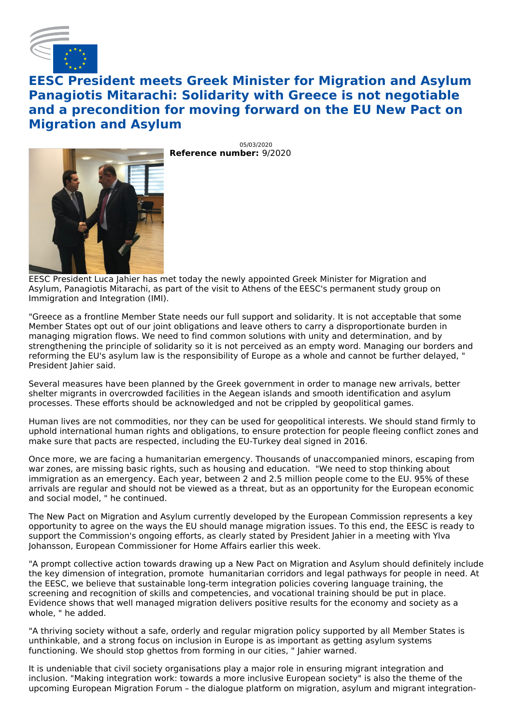

## **EESC President meets Greek Minister for Migration and Asylum Panagiotis Mitarachi: Solidarity with Greece is not negotiable and a precondition for moving forward on the EU New Pact on Migration and Asylum**

**Reference number:** 9/2020 05/03/2020

EESC President Luca Jahier has met today the newly appointed Greek Minister for Migration and Asylum, Panagiotis Mitarachi, as part of the visit to Athens of the EESC's permanent study group on Immigration and Integration (IMI).

"Greece as a frontline Member State needs our full support and solidarity. It is not acceptable that some Member States opt out of our joint obligations and leave others to carry a disproportionate burden in managing migration flows. We need to find common solutions with unity and determination, and by strengthening the principle of solidarity so it is not perceived as an empty word. Managing our borders and reforming the EU's asylum law is the responsibility of Europe as a whole and cannot be further delayed, " President Jahier said.

Several measures have been planned by the Greek government in order to manage new arrivals, better shelter migrants in overcrowded facilities in the Aegean islands and smooth identification and asylum processes. These efforts should be acknowledged and not be crippled by geopolitical games.

Human lives are not commodities, nor they can be used for geopolitical interests. We should stand firmly to uphold international human rights and obligations, to ensure protection for people fleeing conflict zones and make sure that pacts are respected, including the EU-Turkey deal signed in 2016.

Once more, we are facing a humanitarian emergency. Thousands of unaccompanied minors, escaping from war zones, are missing basic rights, such as housing and education. "We need to stop thinking about immigration as an emergency. Each year, between 2 and 2.5 million people come to the EU. 95% of these arrivals are regular and should not be viewed as a threat, but as an opportunity for the European economic and social model, " he continued.

The New Pact on Migration and Asylum currently developed by the European Commission represents a key opportunity to agree on the ways the EU should manage migration issues. To this end, the EESC is ready to support the Commission's ongoing efforts, as clearly stated by President Jahier in a meeting with Ylva Johansson, European Commissioner for Home Affairs earlier this week.

"A prompt collective action towards drawing up a New Pact on Migration and Asylum should definitely include the key dimension of integration, promote humanitarian corridors and legal pathways for people in need. At the EESC, we believe that sustainable long-term integration policies covering language training, the screening and recognition of skills and competencies, and vocational training should be put in place. Evidence shows that well managed migration delivers positive results for the economy and society as a whole, " he added.

"A thriving society without a safe, orderly and regular migration policy supported by all Member States is unthinkable, and a strong focus on inclusion in Europe is as important as getting asylum systems functioning. We should stop ghettos from forming in our cities, " Jahier warned.

It is undeniable that civil society organisations play a major role in ensuring migrant integration and inclusion. "Making integration work: towards a more inclusive European society" is also the theme of the upcoming European Migration Forum – the dialogue platform on migration, asylum and migrant integration